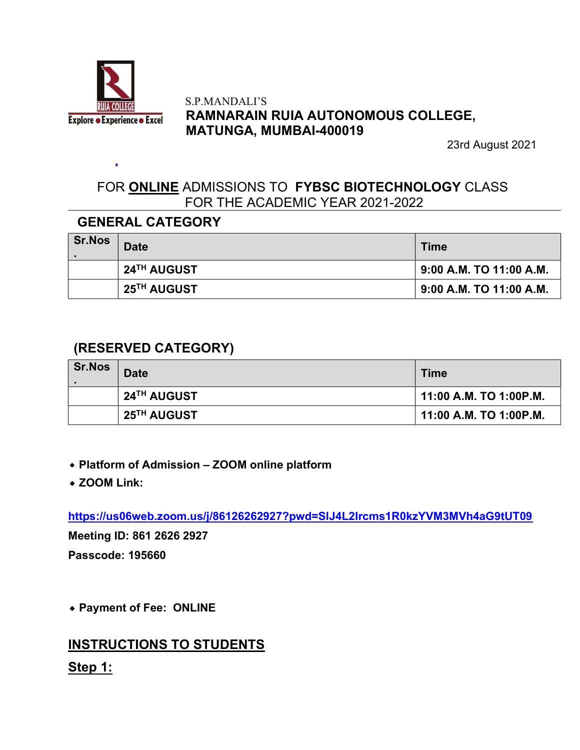

#### S.P.MANDALI'S RAMNARAIN RUIA AUTONOMOUS COLLEGE, MATUNGA, MUMBAI-400019

23rd August 2021

# FOR **ONLINE** ADMISSIONS TO FYBSC BIOTECHNOLOGY CLASS FOR THE ACADEMIC YEAR 2021-2022

## GENERAL CATEGORY

| <b>Sr.Nos</b> | <b>Date</b> | <b>Time</b>              |
|---------------|-------------|--------------------------|
|               | 24TH AUGUST | 9:00 A.M. TO 11:00 A.M.  |
|               | 25TH AUGUST | 19:00 A.M. TO 11:00 A.M. |

## (RESERVED CATEGORY)

| <b>Sr.Nos</b> | <b>Date</b> | <b>Time</b>            |
|---------------|-------------|------------------------|
|               | 24TH AUGUST | 11:00 A.M. TO 1:00P.M. |
|               | 25TH AUGUST | 11:00 A.M. TO 1:00P.M. |

- ⬥ Platform of Admission ZOOM online platform
- ◆ ZOOM Link:

https://us06web.zoom.us/j/86126262927?pwd=SlJ4L2Ircms1R0kzYVM3MVh4aG9tUT09

Meeting ID: 861 2626 2927 Passcode: 195660

⬥ Payment of Fee: ONLINE

# INSTRUCTIONS TO STUDENTS

Step 1: